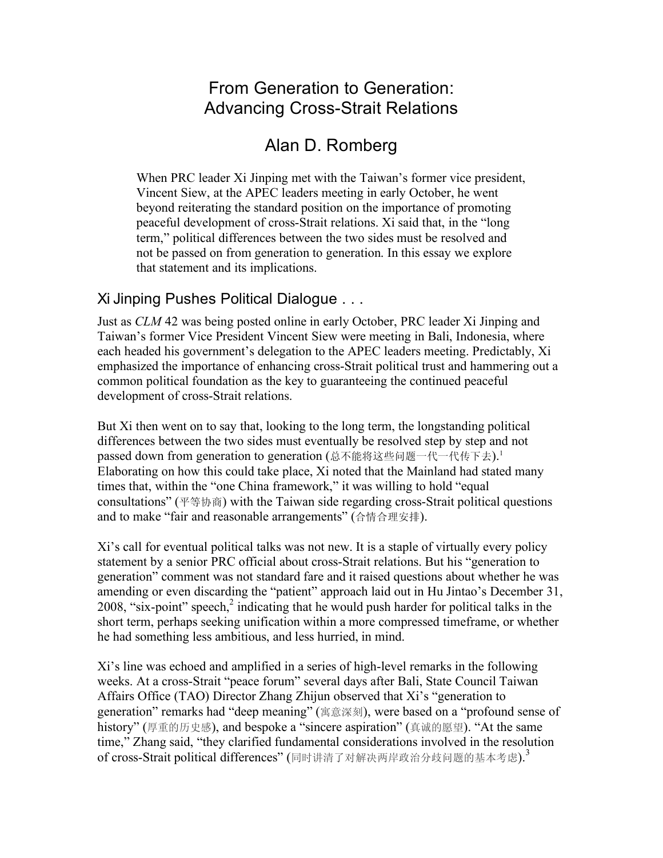# From Generation to Generation: Advancing Cross-Strait Relations

# Alan D. Romberg

When PRC leader Xi Jinping met with the Taiwan's former vice president, Vincent Siew, at the APEC leaders meeting in early October, he went beyond reiterating the standard position on the importance of promoting peaceful development of cross-Strait relations. Xi said that, in the "long term," political differences between the two sides must be resolved and not be passed on from generation to generation. In this essay we explore that statement and its implications.

### Xi Jinping Pushes Political Dialogue . . .

Just as *CLM* 42 was being posted online in early October, PRC leader Xi Jinping and Taiwan's former Vice President Vincent Siew were meeting in Bali, Indonesia, where each headed his government's delegation to the APEC leaders meeting. Predictably, Xi emphasized the importance of enhancing cross-Strait political trust and hammering out a common political foundation as the key to guaranteeing the continued peaceful development of cross-Strait relations.

But Xi then went on to say that, looking to the long term, the longstanding political differences between the two sides must eventually be resolved step by step and not passed down from generation to generation (总不能将这些问题一代一代传下去). 1 Elaborating on how this could take place, Xi noted that the Mainland had stated many times that, within the "one China framework," it was willing to hold "equal consultations" (平等协商) with the Taiwan side regarding cross-Strait political questions and to make "fair and reasonable arrangements" (合情合理安排).

Xi's call for eventual political talks was not new. It is a staple of virtually every policy statement by a senior PRC official about cross-Strait relations. But his "generation to generation" comment was not standard fare and it raised questions about whether he was amending or even discarding the "patient" approach laid out in Hu Jintao's December 31, 2008, "six-point" speech, $2$  indicating that he would push harder for political talks in the short term, perhaps seeking unification within a more compressed timeframe, or whether he had something less ambitious, and less hurried, in mind.

Xi's line was echoed and amplified in a series of high-level remarks in the following weeks. At a cross-Strait "peace forum" several days after Bali, State Council Taiwan Affairs Office (TAO) Director Zhang Zhijun observed that Xi's "generation to generation" remarks had "deep meaning" (寓意深刻), were based on a "profound sense of history" (厚重的历史感), and bespoke a "sincere aspiration" (真诚的愿望). "At the same time," Zhang said, "they clarified fundamental considerations involved in the resolution of cross-Strait political differences" (同时讲清了对解决两岸政治分歧问题的基本考虑).<sup>3</sup>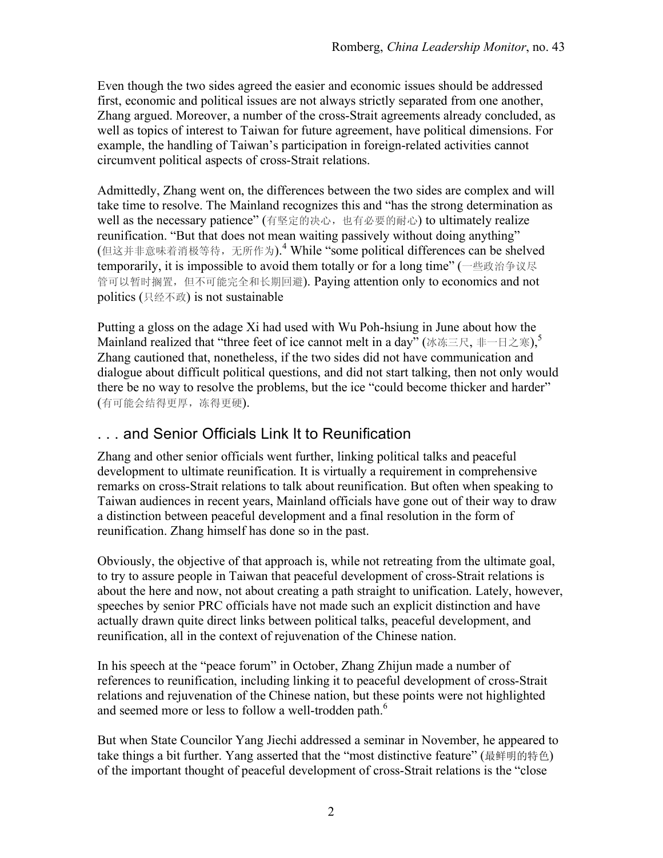Even though the two sides agreed the easier and economic issues should be addressed first, economic and political issues are not always strictly separated from one another, Zhang argued. Moreover, a number of the cross-Strait agreements already concluded, as well as topics of interest to Taiwan for future agreement, have political dimensions. For example, the handling of Taiwan's participation in foreign-related activities cannot circumvent political aspects of cross-Strait relations.

Admittedly, Zhang went on, the differences between the two sides are complex and will take time to resolve. The Mainland recognizes this and "has the strong determination as well as the necessary patience" (有坚定的决心,也有必要的耐心) to ultimately realize reunification. "But that does not mean waiting passively without doing anything" (但这并非意味着消极等待,无所作为).<sup>4</sup> While "some political differences can be shelved temporarily, it is impossible to avoid them totally or for a long time" (一些政治争议尽 管可以暂时搁置,但不可能完全和长期回避). Paying attention only to economics and not politics (只经不政) is not sustainable

Putting a gloss on the adage Xi had used with Wu Poh-hsiung in June about how the Mainland realized that "three feet of ice cannot melt in a day" (冰冻三尺, 非一日之寒), Zhang cautioned that, nonetheless, if the two sides did not have communication and dialogue about difficult political questions, and did not start talking, then not only would there be no way to resolve the problems, but the ice "could become thicker and harder" (有可能会结得更厚,冻得更硬).

### . . . and Senior Officials Link It to Reunification

Zhang and other senior officials went further, linking political talks and peaceful development to ultimate reunification. It is virtually a requirement in comprehensive remarks on cross-Strait relations to talk about reunification. But often when speaking to Taiwan audiences in recent years, Mainland officials have gone out of their way to draw a distinction between peaceful development and a final resolution in the form of reunification. Zhang himself has done so in the past.

Obviously, the objective of that approach is, while not retreating from the ultimate goal, to try to assure people in Taiwan that peaceful development of cross-Strait relations is about the here and now, not about creating a path straight to unification. Lately, however, speeches by senior PRC officials have not made such an explicit distinction and have actually drawn quite direct links between political talks, peaceful development, and reunification, all in the context of rejuvenation of the Chinese nation.

In his speech at the "peace forum" in October, Zhang Zhijun made a number of references to reunification, including linking it to peaceful development of cross-Strait relations and rejuvenation of the Chinese nation, but these points were not highlighted and seemed more or less to follow a well-trodden path.<sup>6</sup>

But when State Councilor Yang Jiechi addressed a seminar in November, he appeared to take things a bit further. Yang asserted that the "most distinctive feature" (最鲜明的特色) of the important thought of peaceful development of cross-Strait relations is the "close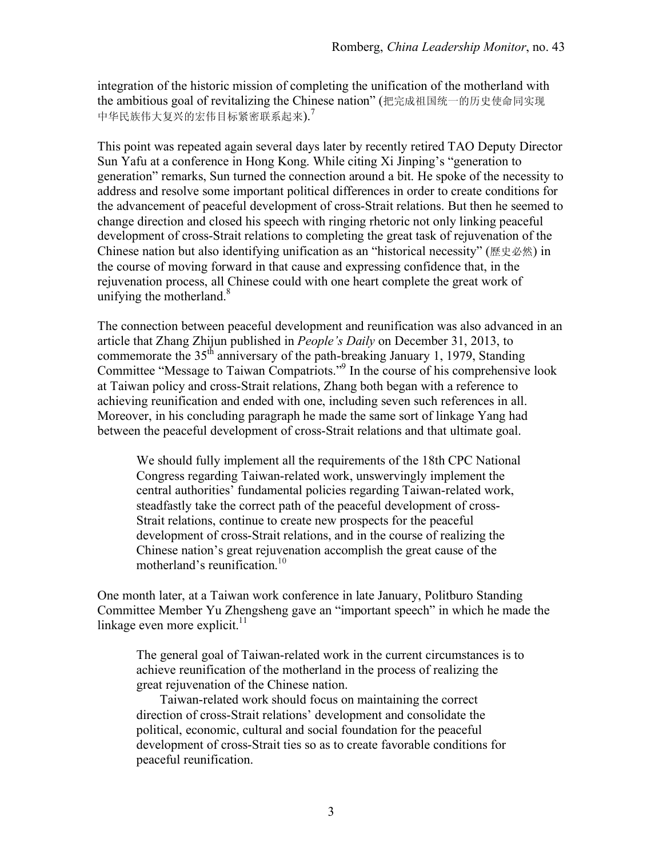integration of the historic mission of completing the unification of the motherland with the ambitious goal of revitalizing the Chinese nation" (把完成祖国统一的历史使命同实现 中华民族伟大复兴的宏伟目标紧密联系起来).<sup>7</sup>

This point was repeated again several days later by recently retired TAO Deputy Director Sun Yafu at a conference in Hong Kong. While citing Xi Jinping's "generation to generation" remarks, Sun turned the connection around a bit. He spoke of the necessity to address and resolve some important political differences in order to create conditions for the advancement of peaceful development of cross-Strait relations. But then he seemed to change direction and closed his speech with ringing rhetoric not only linking peaceful development of cross-Strait relations to completing the great task of rejuvenation of the Chinese nation but also identifying unification as an "historical necessity" (歷史必然) in the course of moving forward in that cause and expressing confidence that, in the rejuvenation process, all Chinese could with one heart complete the great work of unifying the motherland. $8$ 

The connection between peaceful development and reunification was also advanced in an article that Zhang Zhijun published in *People's Daily* on December 31, 2013, to commemorate the  $35<sup>th</sup>$  anniversary of the path-breaking January 1, 1979, Standing Committee "Message to Taiwan Compatriots."<sup>9</sup> In the course of his comprehensive look at Taiwan policy and cross-Strait relations, Zhang both began with a reference to achieving reunification and ended with one, including seven such references in all. Moreover, in his concluding paragraph he made the same sort of linkage Yang had between the peaceful development of cross-Strait relations and that ultimate goal.

We should fully implement all the requirements of the 18th CPC National Congress regarding Taiwan-related work, unswervingly implement the central authorities' fundamental policies regarding Taiwan-related work, steadfastly take the correct path of the peaceful development of cross-Strait relations, continue to create new prospects for the peaceful development of cross-Strait relations, and in the course of realizing the Chinese nation's great rejuvenation accomplish the great cause of the motherland's reunification.<sup>10</sup>

One month later, at a Taiwan work conference in late January, Politburo Standing Committee Member Yu Zhengsheng gave an "important speech" in which he made the linkage even more explicit. $11$ 

The general goal of Taiwan-related work in the current circumstances is to achieve reunification of the motherland in the process of realizing the great rejuvenation of the Chinese nation.

Taiwan-related work should focus on maintaining the correct direction of cross-Strait relations' development and consolidate the political, economic, cultural and social foundation for the peaceful development of cross-Strait ties so as to create favorable conditions for peaceful reunification.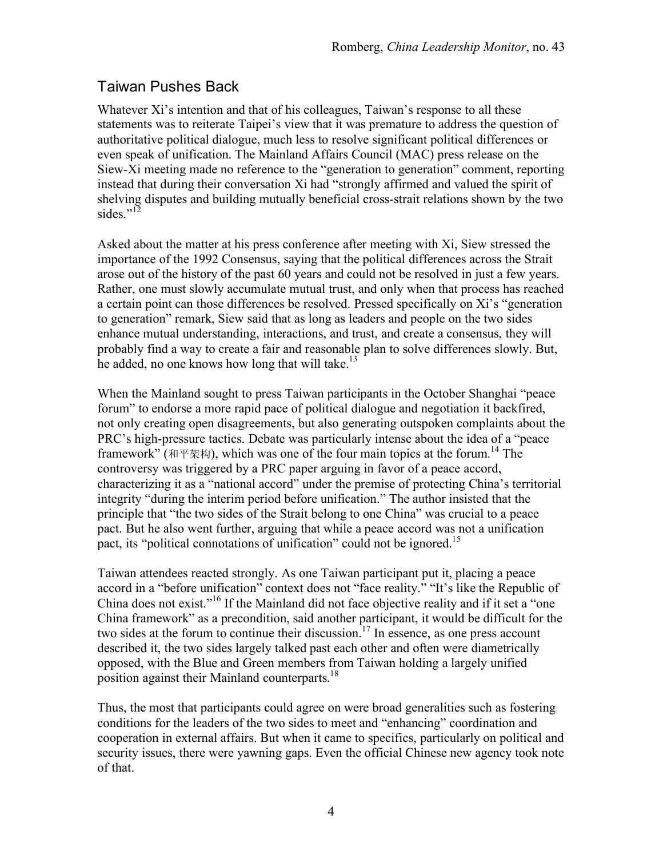### Taiwan Pushes Back

Whatever Xi's intention and that of his colleagues, Taiwan's response to all these statements was to reiterate Taipei's view that it was premature to address the question of authoritative political dialogue, much less to resolve significant political differences or even speak of unification. The Mainland Affairs Council (MAC) press release on the Siew-Xi meeting made no reference to the "generation to generation" comment, reporting instead that during their conversation Xi had "strongly affirmed and valued the spirit of shelving disputes and building mutually beneficial cross-strait relations shown by the two sides."<sup>12</sup>

Asked about the matter at his press conference after meeting with Xi, Siew stressed the importance of the 1992 Consensus, saying that the political differences across the Strait arose out of the history of the past 60 years and could not be resolved in just a few years. Rather, one must slowly accumulate mutual trust, and only when that process has reached a certain point can those differences be resolved. Pressed specifically on Xi's "generation to generation" remark, Siew said that as long as leaders and people on the two sides enhance mutual understanding, interactions, and trust, and create a consensus, they will probably find a way to create a fair and reasonable plan to solve differences slowly. But, he added, no one knows how long that will take. $^{13}$ 

When the Mainland sought to press Taiwan participants in the October Shanghai "peace forum" to endorse a more rapid pace of political dialogue and negotiation it backfired, not only creating open disagreements, but also generating outspoken complaints about the PRC's high-pressure tactics. Debate was particularly intense about the idea of a "peace framework" (和平架构), which was one of the four main topics at the forum.<sup>14</sup> The controversy was triggered by a PRC paper arguing in favor of a peace accord, characterizing it as a "national accord" under the premise of protecting China's territorial integrity "during the interim period before unification." The author insisted that the principle that "the two sides of the Strait belong to one China" was crucial to a peace pact. But he also went further, arguing that while a peace accord was not a unification pact, its "political connotations of unification" could not be ignored.<sup>15</sup>

Taiwan attendees reacted strongly. As one Taiwan participant put it, placing a peace accord in a "before unification" context does not "face reality." "It's like the Republic of China does not exist."16 If the Mainland did not face objective reality and if it set a "one China framework" as a precondition, said another participant, it would be difficult for the two sides at the forum to continue their discussion.<sup>17</sup> In essence, as one press account described it, the two sides largely talked past each other and often were diametrically opposed, with the Blue and Green members from Taiwan holding a largely unified position against their Mainland counterparts.<sup>18</sup>

Thus, the most that participants could agree on were broad generalities such as fostering conditions for the leaders of the two sides to meet and "enhancing" coordination and cooperation in external affairs. But when it came to specifics, particularly on political and security issues, there were yawning gaps. Even the official Chinese new agency took note of that.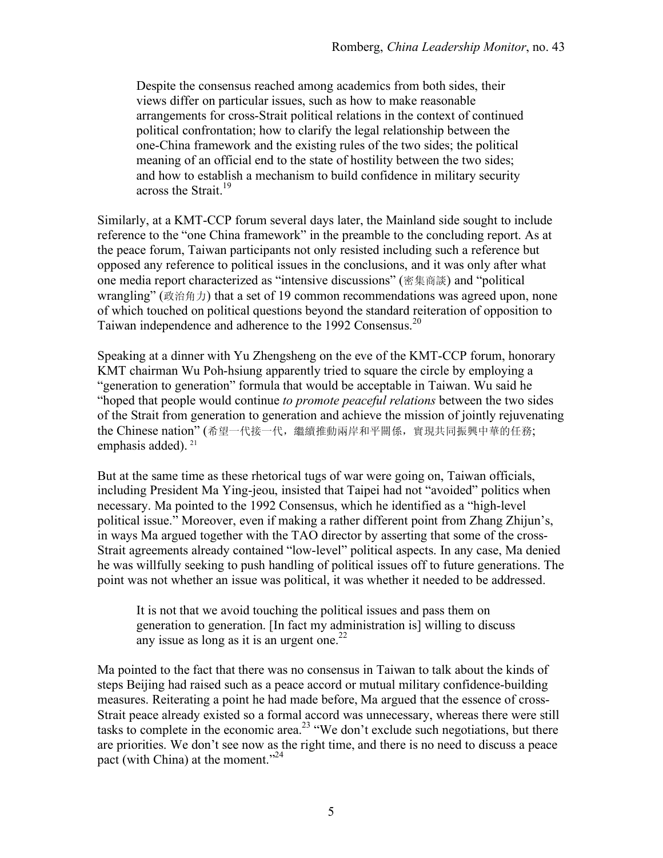Despite the consensus reached among academics from both sides, their views differ on particular issues, such as how to make reasonable arrangements for cross-Strait political relations in the context of continued political confrontation; how to clarify the legal relationship between the one-China framework and the existing rules of the two sides; the political meaning of an official end to the state of hostility between the two sides; and how to establish a mechanism to build confidence in military security across the Strait.<sup>19</sup>

Similarly, at a KMT-CCP forum several days later, the Mainland side sought to include reference to the "one China framework" in the preamble to the concluding report. As at the peace forum, Taiwan participants not only resisted including such a reference but opposed any reference to political issues in the conclusions, and it was only after what one media report characterized as "intensive discussions" (密集商談) and "political wrangling" (政治角力) that a set of 19 common recommendations was agreed upon, none of which touched on political questions beyond the standard reiteration of opposition to Taiwan independence and adherence to the 1992 Consensus.<sup>20</sup>

Speaking at a dinner with Yu Zhengsheng on the eve of the KMT-CCP forum, honorary KMT chairman Wu Poh-hsiung apparently tried to square the circle by employing a "generation to generation" formula that would be acceptable in Taiwan. Wu said he "hoped that people would continue *to promote peaceful relations* between the two sides of the Strait from generation to generation and achieve the mission of jointly rejuvenating the Chinese nation" (希望一代接一代,繼續推動兩岸和平關係,實現共同振興中華的任務; emphasis added).<sup>21</sup>

But at the same time as these rhetorical tugs of war were going on, Taiwan officials, including President Ma Ying-jeou, insisted that Taipei had not "avoided" politics when necessary. Ma pointed to the 1992 Consensus, which he identified as a "high-level political issue." Moreover, even if making a rather different point from Zhang Zhijun's, in ways Ma argued together with the TAO director by asserting that some of the cross-Strait agreements already contained "low-level" political aspects. In any case, Ma denied he was willfully seeking to push handling of political issues off to future generations. The point was not whether an issue was political, it was whether it needed to be addressed.

It is not that we avoid touching the political issues and pass them on generation to generation. [In fact my administration is] willing to discuss any issue as long as it is an urgent one.<sup>22</sup>

Ma pointed to the fact that there was no consensus in Taiwan to talk about the kinds of steps Beijing had raised such as a peace accord or mutual military confidence-building measures. Reiterating a point he had made before, Ma argued that the essence of cross-Strait peace already existed so a formal accord was unnecessary, whereas there were still tasks to complete in the economic area.<sup>23</sup> "We don't exclude such negotiations, but there are priorities. We don't see now as the right time, and there is no need to discuss a peace pact (with China) at the moment."<sup>24</sup>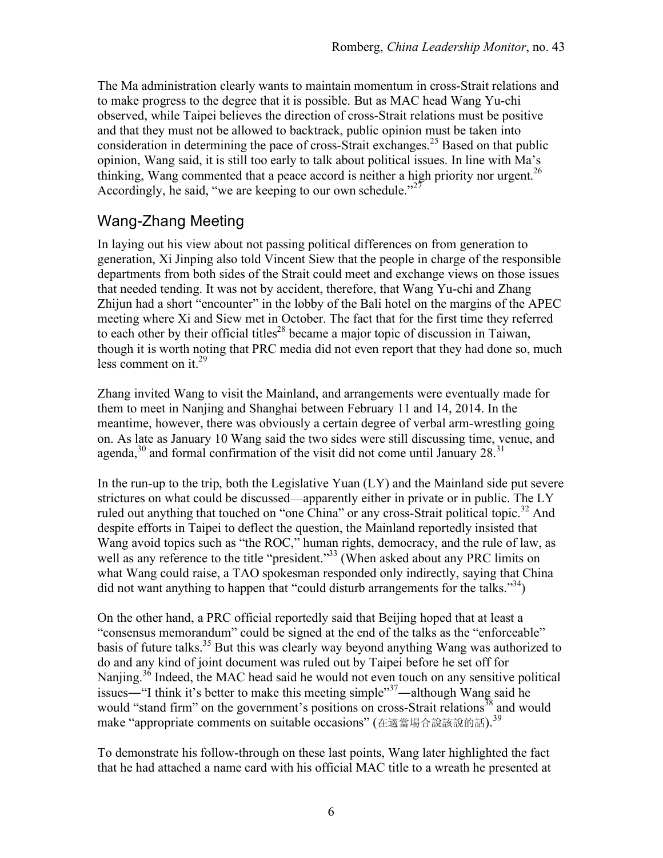The Ma administration clearly wants to maintain momentum in cross-Strait relations and to make progress to the degree that it is possible. But as MAC head Wang Yu-chi observed, while Taipei believes the direction of cross-Strait relations must be positive and that they must not be allowed to backtrack, public opinion must be taken into consideration in determining the pace of cross-Strait exchanges.<sup>25</sup> Based on that public opinion, Wang said, it is still too early to talk about political issues. In line with Ma's thinking, Wang commented that a peace accord is neither a high priority nor urgent.<sup>26</sup> Accordingly, he said, "we are keeping to our own schedule."<sup>27</sup>

## Wang-Zhang Meeting

In laying out his view about not passing political differences on from generation to generation, Xi Jinping also told Vincent Siew that the people in charge of the responsible departments from both sides of the Strait could meet and exchange views on those issues that needed tending. It was not by accident, therefore, that Wang Yu-chi and Zhang Zhijun had a short "encounter" in the lobby of the Bali hotel on the margins of the APEC meeting where Xi and Siew met in October. The fact that for the first time they referred to each other by their official titles<sup>28</sup> became a major topic of discussion in Taiwan, though it is worth noting that PRC media did not even report that they had done so, much less comment on it. $^{29}$ 

Zhang invited Wang to visit the Mainland, and arrangements were eventually made for them to meet in Nanjing and Shanghai between February 11 and 14, 2014. In the meantime, however, there was obviously a certain degree of verbal arm-wrestling going on. As late as January 10 Wang said the two sides were still discussing time, venue, and agenda, $30$  and formal confirmation of the visit did not come until January 28. $31$ 

In the run-up to the trip, both the Legislative Yuan  $(LY)$  and the Mainland side put severe strictures on what could be discussed—apparently either in private or in public. The LY ruled out anything that touched on "one China" or any cross-Strait political topic.<sup>32</sup> And despite efforts in Taipei to deflect the question, the Mainland reportedly insisted that Wang avoid topics such as "the ROC," human rights, democracy, and the rule of law, as well as any reference to the title "president."<sup>33</sup> (When asked about any PRC limits on what Wang could raise, a TAO spokesman responded only indirectly, saying that China did not want anything to happen that "could disturb arrangements for the talks."<sup>34</sup>)

On the other hand, a PRC official reportedly said that Beijing hoped that at least a "consensus memorandum" could be signed at the end of the talks as the "enforceable" basis of future talks.<sup>35</sup> But this was clearly way beyond anything Wang was authorized to do and any kind of joint document was ruled out by Taipei before he set off for Nanjing.<sup>36</sup> Indeed, the MAC head said he would not even touch on any sensitive political issues—"I think it's better to make this meeting simple"<sup>37</sup>—although Wang said he would "stand firm" on the government's positions on cross-Strait relations<sup>38</sup> and would make "appropriate comments on suitable occasions" (在適當場合說該說的話). 39

To demonstrate his follow-through on these last points, Wang later highlighted the fact that he had attached a name card with his official MAC title to a wreath he presented at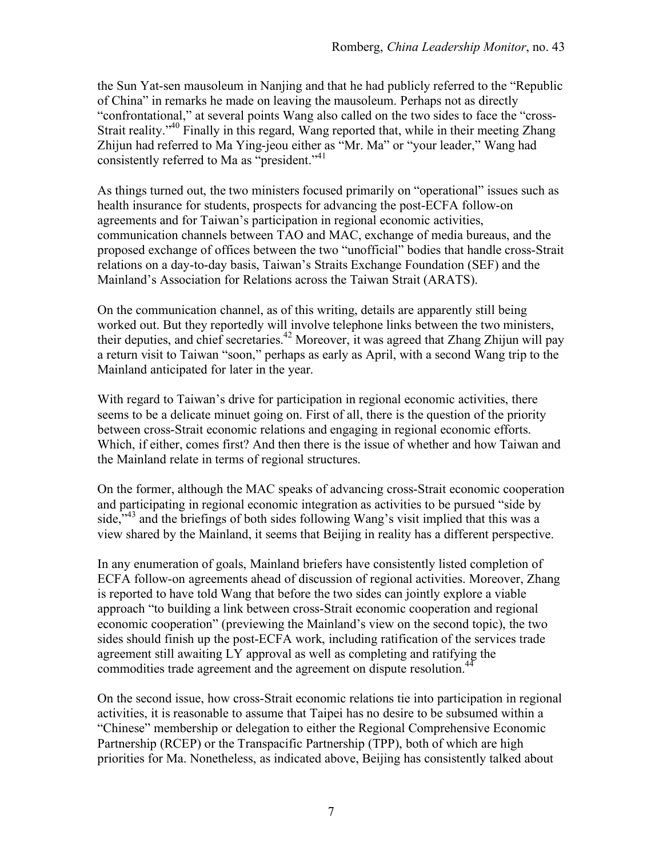the Sun Yat-sen mausoleum in Nanjing and that he had publicly referred to the "Republic of China" in remarks he made on leaving the mausoleum. Perhaps not as directly "confrontational," at several points Wang also called on the two sides to face the "cross-Strait reality."<sup>40</sup> Finally in this regard, Wang reported that, while in their meeting Zhang Zhijun had referred to Ma Ying-jeou either as "Mr. Ma" or "your leader," Wang had consistently referred to Ma as "president."<sup>41</sup>

As things turned out, the two ministers focused primarily on "operational" issues such as health insurance for students, prospects for advancing the post-ECFA follow-on agreements and for Taiwan's participation in regional economic activities, communication channels between TAO and MAC, exchange of media bureaus, and the proposed exchange of offices between the two "unofficial" bodies that handle cross-Strait relations on a day-to-day basis, Taiwan's Straits Exchange Foundation (SEF) and the Mainland's Association for Relations across the Taiwan Strait (ARATS).

On the communication channel, as of this writing, details are apparently still being worked out. But they reportedly will involve telephone links between the two ministers, their deputies, and chief secretaries.<sup>42</sup> Moreover, it was agreed that Zhang Zhijun will pay a return visit to Taiwan "soon," perhaps as early as April, with a second Wang trip to the Mainland anticipated for later in the year.

With regard to Taiwan's drive for participation in regional economic activities, there seems to be a delicate minuet going on. First of all, there is the question of the priority between cross-Strait economic relations and engaging in regional economic efforts. Which, if either, comes first? And then there is the issue of whether and how Taiwan and the Mainland relate in terms of regional structures.

On the former, although the MAC speaks of advancing cross-Strait economic cooperation and participating in regional economic integration as activities to be pursued "side by side, $\frac{1}{2}$  and the briefings of both sides following Wang's visit implied that this was a view shared by the Mainland, it seems that Beijing in reality has a different perspective.

In any enumeration of goals, Mainland briefers have consistently listed completion of ECFA follow-on agreements ahead of discussion of regional activities. Moreover, Zhang is reported to have told Wang that before the two sides can jointly explore a viable approach "to building a link between cross-Strait economic cooperation and regional economic cooperation" (previewing the Mainland's view on the second topic), the two sides should finish up the post-ECFA work, including ratification of the services trade agreement still awaiting LY approval as well as completing and ratifying the commodities trade agreement and the agreement on dispute resolution.<sup>44</sup>

On the second issue, how cross-Strait economic relations tie into participation in regional activities, it is reasonable to assume that Taipei has no desire to be subsumed within a "Chinese" membership or delegation to either the Regional Comprehensive Economic Partnership (RCEP) or the Transpacific Partnership (TPP), both of which are high priorities for Ma. Nonetheless, as indicated above, Beijing has consistently talked about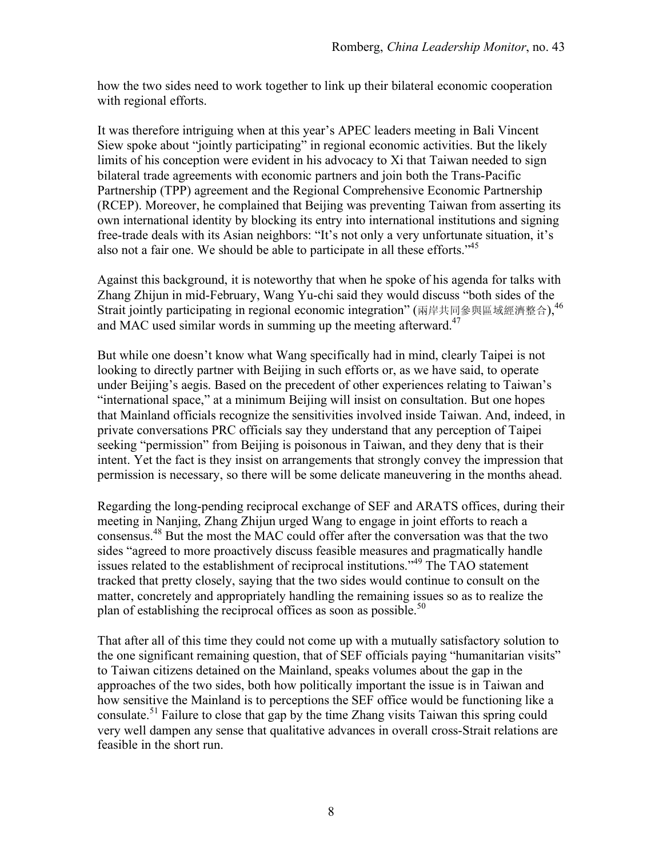how the two sides need to work together to link up their bilateral economic cooperation with regional efforts.

It was therefore intriguing when at this year's APEC leaders meeting in Bali Vincent Siew spoke about "jointly participating" in regional economic activities. But the likely limits of his conception were evident in his advocacy to Xi that Taiwan needed to sign bilateral trade agreements with economic partners and join both the Trans-Pacific Partnership (TPP) agreement and the Regional Comprehensive Economic Partnership (RCEP). Moreover, he complained that Beijing was preventing Taiwan from asserting its own international identity by blocking its entry into international institutions and signing free-trade deals with its Asian neighbors: "It's not only a very unfortunate situation, it's also not a fair one. We should be able to participate in all these efforts.<sup>45</sup>

Against this background, it is noteworthy that when he spoke of his agenda for talks with Zhang Zhijun in mid-February, Wang Yu-chi said they would discuss "both sides of the Strait jointly participating in regional economic integration" (兩岸共同參與區域經濟整合),  $^{46}$ and MAC used similar words in summing up the meeting afterward.<sup>47</sup>

But while one doesn't know what Wang specifically had in mind, clearly Taipei is not looking to directly partner with Beijing in such efforts or, as we have said, to operate under Beijing's aegis. Based on the precedent of other experiences relating to Taiwan's "international space," at a minimum Beijing will insist on consultation. But one hopes that Mainland officials recognize the sensitivities involved inside Taiwan. And, indeed, in private conversations PRC officials say they understand that any perception of Taipei seeking "permission" from Beijing is poisonous in Taiwan, and they deny that is their intent. Yet the fact is they insist on arrangements that strongly convey the impression that permission is necessary, so there will be some delicate maneuvering in the months ahead.

Regarding the long-pending reciprocal exchange of SEF and ARATS offices, during their meeting in Nanjing, Zhang Zhijun urged Wang to engage in joint efforts to reach a consensus.48 But the most the MAC could offer after the conversation was that the two sides "agreed to more proactively discuss feasible measures and pragmatically handle issues related to the establishment of reciprocal institutions."<sup>49</sup> The TAO statement tracked that pretty closely, saying that the two sides would continue to consult on the matter, concretely and appropriately handling the remaining issues so as to realize the plan of establishing the reciprocal offices as soon as possible.<sup>50</sup>

That after all of this time they could not come up with a mutually satisfactory solution to the one significant remaining question, that of SEF officials paying "humanitarian visits" to Taiwan citizens detained on the Mainland, speaks volumes about the gap in the approaches of the two sides, both how politically important the issue is in Taiwan and how sensitive the Mainland is to perceptions the SEF office would be functioning like a consulate.<sup>51</sup> Failure to close that gap by the time Zhang visits Taiwan this spring could very well dampen any sense that qualitative advances in overall cross-Strait relations are feasible in the short run.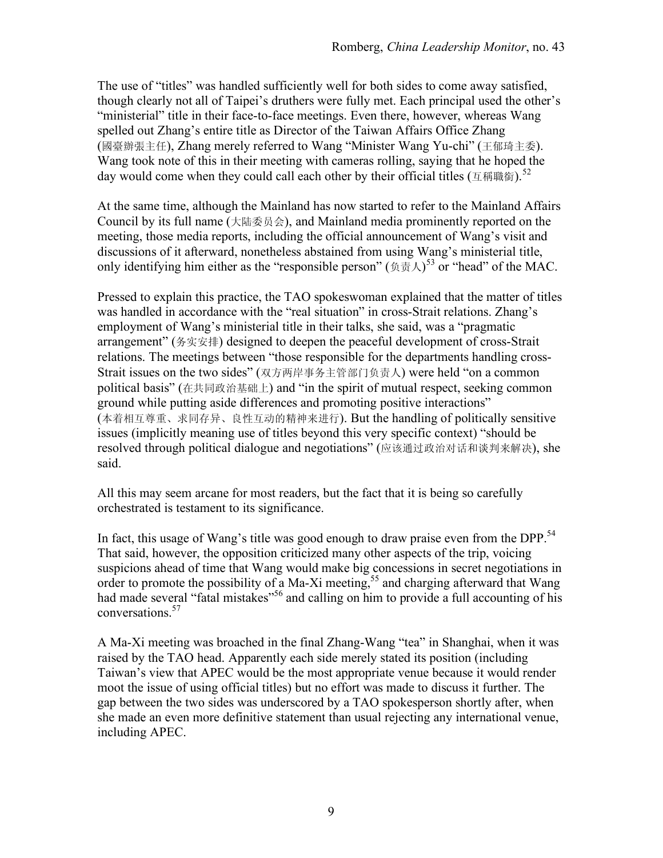The use of "titles" was handled sufficiently well for both sides to come away satisfied, though clearly not all of Taipei's druthers were fully met. Each principal used the other's "ministerial" title in their face-to-face meetings. Even there, however, whereas Wang spelled out Zhang's entire title as Director of the Taiwan Affairs Office Zhang (國臺辦張主任), Zhang merely referred to Wang "Minister Wang Yu-chi" (王郁琦主委). Wang took note of this in their meeting with cameras rolling, saying that he hoped the day would come when they could call each other by their official titles ( $\pm$ 稱職銜).<sup>52</sup>

At the same time, although the Mainland has now started to refer to the Mainland Affairs Council by its full name (大陆委员会), and Mainland media prominently reported on the meeting, those media reports, including the official announcement of Wang's visit and discussions of it afterward, nonetheless abstained from using Wang's ministerial title, only identifying him either as the "responsible person" ( $\text{\$\mathfrak{H}$}\mathcal{A}$ )<sup>53</sup> or "head" of the MAC.

Pressed to explain this practice, the TAO spokeswoman explained that the matter of titles was handled in accordance with the "real situation" in cross-Strait relations. Zhang's employment of Wang's ministerial title in their talks, she said, was a "pragmatic arrangement" (务实安排) designed to deepen the peaceful development of cross-Strait relations. The meetings between "those responsible for the departments handling cross-Strait issues on the two sides" (双方两岸事务主管部门负责人) were held "on a common political basis" (在共同政治基础上) and "in the spirit of mutual respect, seeking common ground while putting aside differences and promoting positive interactions" (本着相互尊重、求同存异、良性互动的精神来进行). But the handling of politically sensitive issues (implicitly meaning use of titles beyond this very specific context) "should be resolved through political dialogue and negotiations" (应该通过政治对话和谈判来解决), she said.

All this may seem arcane for most readers, but the fact that it is being so carefully orchestrated is testament to its significance.

In fact, this usage of Wang's title was good enough to draw praise even from the DPP.<sup>54</sup> That said, however, the opposition criticized many other aspects of the trip, voicing suspicions ahead of time that Wang would make big concessions in secret negotiations in order to promote the possibility of a Ma-Xi meeting,<sup>55</sup> and charging afterward that Wang had made several "fatal mistakes"<sup>56</sup> and calling on him to provide a full accounting of his conversations.<sup>57</sup>

A Ma-Xi meeting was broached in the final Zhang-Wang "tea" in Shanghai, when it was raised by the TAO head. Apparently each side merely stated its position (including Taiwan's view that APEC would be the most appropriate venue because it would render moot the issue of using official titles) but no effort was made to discuss it further. The gap between the two sides was underscored by a TAO spokesperson shortly after, when she made an even more definitive statement than usual rejecting any international venue, including APEC.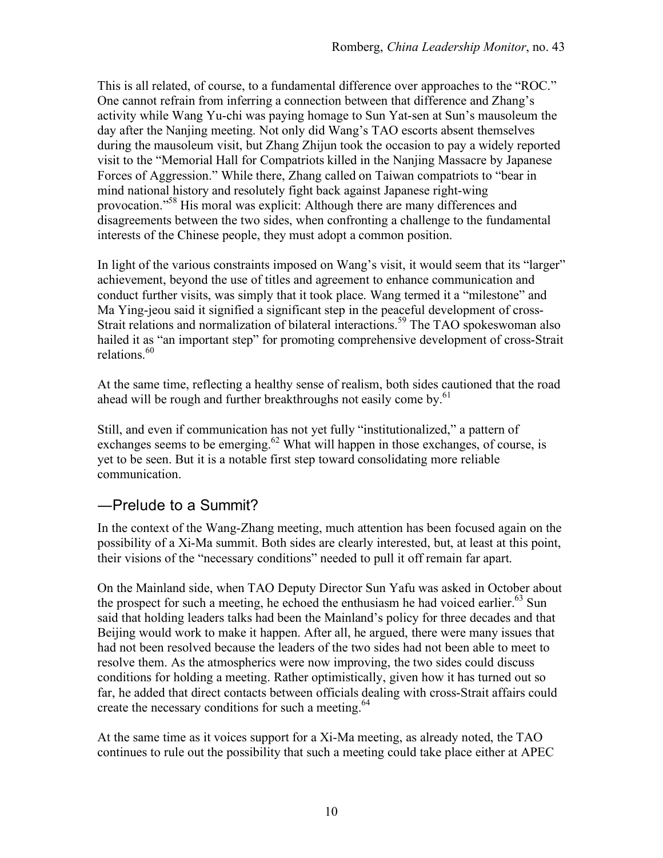This is all related, of course, to a fundamental difference over approaches to the "ROC." One cannot refrain from inferring a connection between that difference and Zhang's activity while Wang Yu-chi was paying homage to Sun Yat-sen at Sun's mausoleum the day after the Nanjing meeting. Not only did Wang's TAO escorts absent themselves during the mausoleum visit, but Zhang Zhijun took the occasion to pay a widely reported visit to the "Memorial Hall for Compatriots killed in the Nanjing Massacre by Japanese Forces of Aggression." While there, Zhang called on Taiwan compatriots to "bear in mind national history and resolutely fight back against Japanese right-wing provocation."<sup>58</sup> His moral was explicit: Although there are many differences and disagreements between the two sides, when confronting a challenge to the fundamental interests of the Chinese people, they must adopt a common position.

In light of the various constraints imposed on Wang's visit, it would seem that its "larger" achievement, beyond the use of titles and agreement to enhance communication and conduct further visits, was simply that it took place. Wang termed it a "milestone" and Ma Ying-jeou said it signified a significant step in the peaceful development of cross-Strait relations and normalization of bilateral interactions.<sup>59</sup> The TAO spokeswoman also hailed it as "an important step" for promoting comprehensive development of cross-Strait relations<sup>60</sup>

At the same time, reflecting a healthy sense of realism, both sides cautioned that the road ahead will be rough and further breakthroughs not easily come by.<sup>61</sup>

Still, and even if communication has not yet fully "institutionalized," a pattern of exchanges seems to be emerging.<sup>62</sup> What will happen in those exchanges, of course, is yet to be seen. But it is a notable first step toward consolidating more reliable communication.

### ―Prelude to a Summit?

In the context of the Wang-Zhang meeting, much attention has been focused again on the possibility of a Xi-Ma summit. Both sides are clearly interested, but, at least at this point, their visions of the "necessary conditions" needed to pull it off remain far apart.

On the Mainland side, when TAO Deputy Director Sun Yafu was asked in October about the prospect for such a meeting, he echoed the enthusiasm he had voiced earlier.<sup>63</sup> Sun said that holding leaders talks had been the Mainland's policy for three decades and that Beijing would work to make it happen. After all, he argued, there were many issues that had not been resolved because the leaders of the two sides had not been able to meet to resolve them. As the atmospherics were now improving, the two sides could discuss conditions for holding a meeting. Rather optimistically, given how it has turned out so far, he added that direct contacts between officials dealing with cross-Strait affairs could create the necessary conditions for such a meeting.<sup>64</sup>

At the same time as it voices support for a Xi-Ma meeting, as already noted, the TAO continues to rule out the possibility that such a meeting could take place either at APEC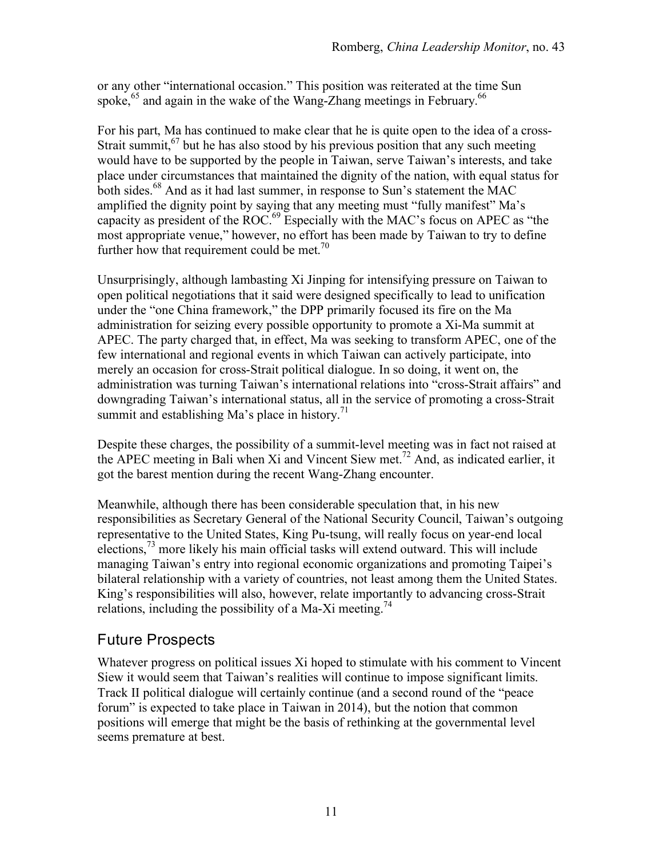or any other "international occasion." This position was reiterated at the time Sun spoke,  $65$  and again in the wake of the Wang-Zhang meetings in February.  $66$ 

For his part, Ma has continued to make clear that he is quite open to the idea of a cross-Strait summit,  $67$  but he has also stood by his previous position that any such meeting would have to be supported by the people in Taiwan, serve Taiwan's interests, and take place under circumstances that maintained the dignity of the nation, with equal status for both sides.<sup>68</sup> And as it had last summer, in response to Sun's statement the MAC amplified the dignity point by saying that any meeting must "fully manifest" Ma's capacity as president of the ROC.69 Especially with the MAC's focus on APEC as "the most appropriate venue," however, no effort has been made by Taiwan to try to define further how that requirement could be met.<sup>70</sup>

Unsurprisingly, although lambasting Xi Jinping for intensifying pressure on Taiwan to open political negotiations that it said were designed specifically to lead to unification under the "one China framework," the DPP primarily focused its fire on the Ma administration for seizing every possible opportunity to promote a Xi-Ma summit at APEC. The party charged that, in effect, Ma was seeking to transform APEC, one of the few international and regional events in which Taiwan can actively participate, into merely an occasion for cross-Strait political dialogue. In so doing, it went on, the administration was turning Taiwan's international relations into "cross-Strait affairs" and downgrading Taiwan's international status, all in the service of promoting a cross-Strait summit and establishing Ma's place in history.<sup>71</sup>

Despite these charges, the possibility of a summit-level meeting was in fact not raised at the APEC meeting in Bali when Xi and Vincent Siew met.<sup>72</sup> And, as indicated earlier, it got the barest mention during the recent Wang-Zhang encounter.

Meanwhile, although there has been considerable speculation that, in his new responsibilities as Secretary General of the National Security Council, Taiwan's outgoing representative to the United States, King Pu-tsung, will really focus on year-end local elections,  $^{73}$  more likely his main official tasks will extend outward. This will include managing Taiwan's entry into regional economic organizations and promoting Taipei's bilateral relationship with a variety of countries, not least among them the United States. King's responsibilities will also, however, relate importantly to advancing cross-Strait relations, including the possibility of a Ma-Xi meeting.<sup>74</sup>

## Future Prospects

Whatever progress on political issues Xi hoped to stimulate with his comment to Vincent Siew it would seem that Taiwan's realities will continue to impose significant limits. Track II political dialogue will certainly continue (and a second round of the "peace forum" is expected to take place in Taiwan in 2014), but the notion that common positions will emerge that might be the basis of rethinking at the governmental level seems premature at best.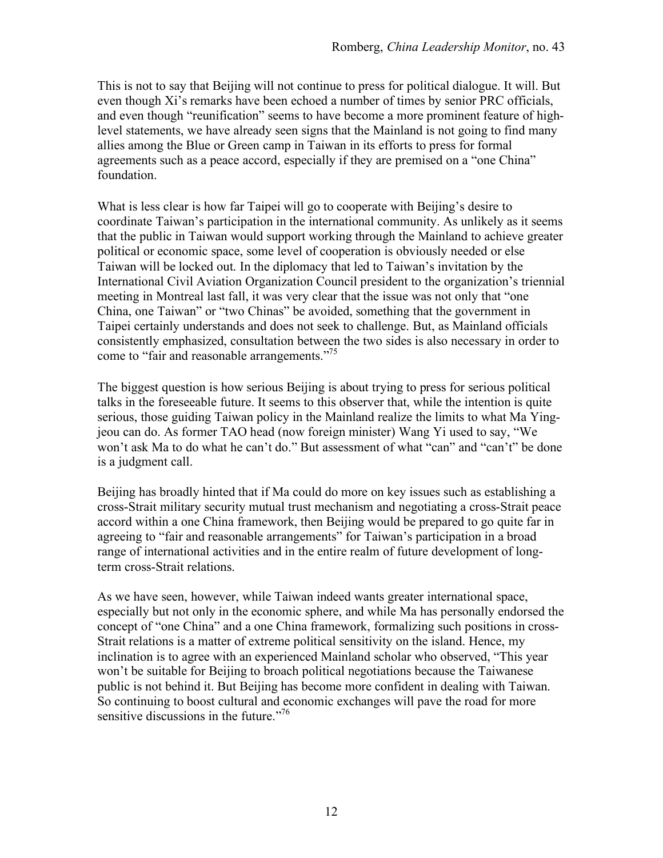This is not to say that Beijing will not continue to press for political dialogue. It will. But even though Xi's remarks have been echoed a number of times by senior PRC officials, and even though "reunification" seems to have become a more prominent feature of highlevel statements, we have already seen signs that the Mainland is not going to find many allies among the Blue or Green camp in Taiwan in its efforts to press for formal agreements such as a peace accord, especially if they are premised on a "one China" foundation.

What is less clear is how far Taipei will go to cooperate with Beijing's desire to coordinate Taiwan's participation in the international community. As unlikely as it seems that the public in Taiwan would support working through the Mainland to achieve greater political or economic space, some level of cooperation is obviously needed or else Taiwan will be locked out. In the diplomacy that led to Taiwan's invitation by the International Civil Aviation Organization Council president to the organization's triennial meeting in Montreal last fall, it was very clear that the issue was not only that "one China, one Taiwan" or "two Chinas" be avoided, something that the government in Taipei certainly understands and does not seek to challenge. But, as Mainland officials consistently emphasized, consultation between the two sides is also necessary in order to come to "fair and reasonable arrangements."<sup>75</sup>

The biggest question is how serious Beijing is about trying to press for serious political talks in the foreseeable future. It seems to this observer that, while the intention is quite serious, those guiding Taiwan policy in the Mainland realize the limits to what Ma Yingjeou can do. As former TAO head (now foreign minister) Wang Yi used to say, "We won't ask Ma to do what he can't do." But assessment of what "can" and "can't" be done is a judgment call.

Beijing has broadly hinted that if Ma could do more on key issues such as establishing a cross-Strait military security mutual trust mechanism and negotiating a cross-Strait peace accord within a one China framework, then Beijing would be prepared to go quite far in agreeing to "fair and reasonable arrangements" for Taiwan's participation in a broad range of international activities and in the entire realm of future development of longterm cross-Strait relations.

As we have seen, however, while Taiwan indeed wants greater international space, especially but not only in the economic sphere, and while Ma has personally endorsed the concept of "one China" and a one China framework, formalizing such positions in cross-Strait relations is a matter of extreme political sensitivity on the island. Hence, my inclination is to agree with an experienced Mainland scholar who observed, "This year won't be suitable for Beijing to broach political negotiations because the Taiwanese public is not behind it. But Beijing has become more confident in dealing with Taiwan. So continuing to boost cultural and economic exchanges will pave the road for more sensitive discussions in the future."<sup>76</sup>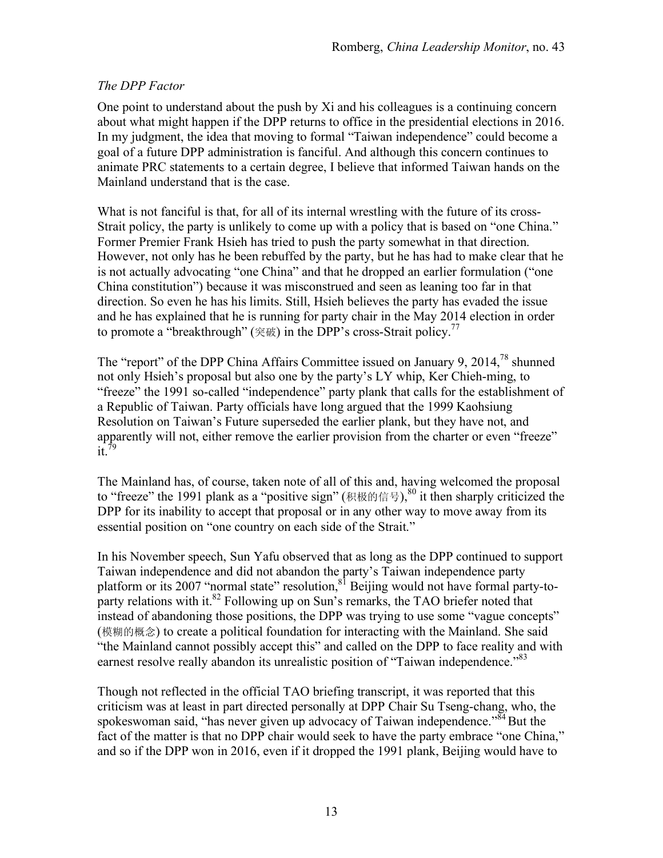#### *The DPP Factor*

One point to understand about the push by Xi and his colleagues is a continuing concern about what might happen if the DPP returns to office in the presidential elections in 2016. In my judgment, the idea that moving to formal "Taiwan independence" could become a goal of a future DPP administration is fanciful. And although this concern continues to animate PRC statements to a certain degree, I believe that informed Taiwan hands on the Mainland understand that is the case.

What is not fanciful is that, for all of its internal wrestling with the future of its cross-Strait policy, the party is unlikely to come up with a policy that is based on "one China." Former Premier Frank Hsieh has tried to push the party somewhat in that direction. However, not only has he been rebuffed by the party, but he has had to make clear that he is not actually advocating "one China" and that he dropped an earlier formulation ("one China constitution") because it was misconstrued and seen as leaning too far in that direction. So even he has his limits. Still, Hsieh believes the party has evaded the issue and he has explained that he is running for party chair in the May 2014 election in order to promote a "breakthrough" ( $\tilde{\mathcal{R}}$ 破) in the DPP's cross-Strait policy.<sup>77</sup>

The "report" of the DPP China Affairs Committee issued on January 9, 2014, $^{78}$  shunned not only Hsieh's proposal but also one by the party's LY whip, Ker Chieh-ming, to "freeze" the 1991 so-called "independence" party plank that calls for the establishment of a Republic of Taiwan. Party officials have long argued that the 1999 Kaohsiung Resolution on Taiwan's Future superseded the earlier plank, but they have not, and apparently will not, either remove the earlier provision from the charter or even "freeze"  $it.^{79}$ 

The Mainland has, of course, taken note of all of this and, having welcomed the proposal to "freeze" the 1991 plank as a "positive sign" (积极的信号), <sup>80</sup> it then sharply criticized the DPP for its inability to accept that proposal or in any other way to move away from its essential position on "one country on each side of the Strait."

In his November speech, Sun Yafu observed that as long as the DPP continued to support Taiwan independence and did not abandon the party's Taiwan independence party platform or its 2007 "normal state" resolution,  $8^1$  Beijing would not have formal party-toparty relations with it.<sup>82</sup> Following up on Sun's remarks, the TAO briefer noted that instead of abandoning those positions, the DPP was trying to use some "vague concepts" (模糊的概念) to create a political foundation for interacting with the Mainland. She said "the Mainland cannot possibly accept this" and called on the DPP to face reality and with earnest resolve really abandon its unrealistic position of "Taiwan independence."<sup>83</sup>

Though not reflected in the official TAO briefing transcript, it was reported that this criticism was at least in part directed personally at DPP Chair Su Tseng-chang, who, the spokeswoman said, "has never given up advocacy of Taiwan independence." $84$  But the fact of the matter is that no DPP chair would seek to have the party embrace "one China," and so if the DPP won in 2016, even if it dropped the 1991 plank, Beijing would have to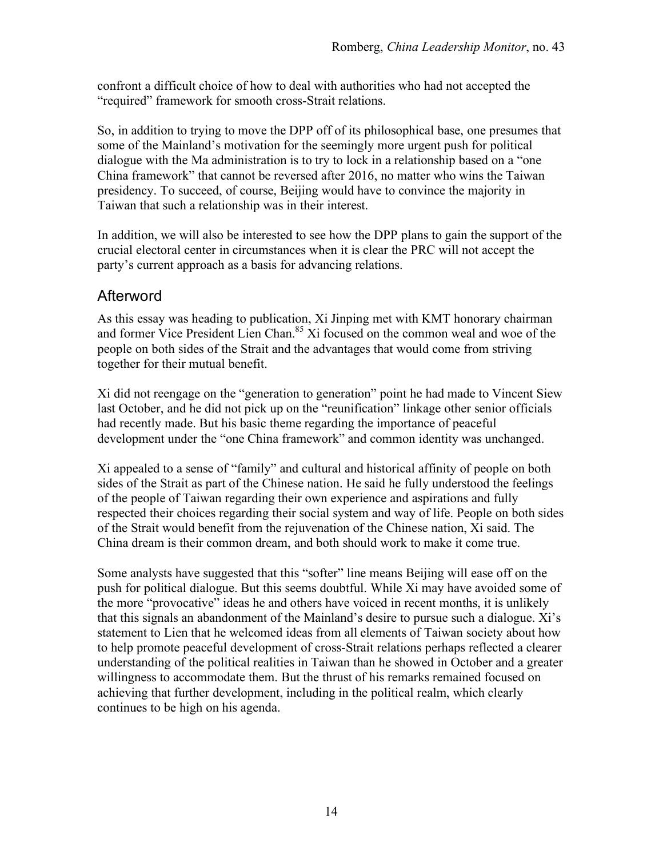confront a difficult choice of how to deal with authorities who had not accepted the "required" framework for smooth cross-Strait relations.

So, in addition to trying to move the DPP off of its philosophical base, one presumes that some of the Mainland's motivation for the seemingly more urgent push for political dialogue with the Ma administration is to try to lock in a relationship based on a "one China framework" that cannot be reversed after 2016, no matter who wins the Taiwan presidency. To succeed, of course, Beijing would have to convince the majority in Taiwan that such a relationship was in their interest.

In addition, we will also be interested to see how the DPP plans to gain the support of the crucial electoral center in circumstances when it is clear the PRC will not accept the party's current approach as a basis for advancing relations.

## Afterword

As this essay was heading to publication, Xi Jinping met with KMT honorary chairman and former Vice President Lien Chan.<sup>85</sup> Xi focused on the common weal and woe of the people on both sides of the Strait and the advantages that would come from striving together for their mutual benefit.

Xi did not reengage on the "generation to generation" point he had made to Vincent Siew last October, and he did not pick up on the "reunification" linkage other senior officials had recently made. But his basic theme regarding the importance of peaceful development under the "one China framework" and common identity was unchanged.

Xi appealed to a sense of "family" and cultural and historical affinity of people on both sides of the Strait as part of the Chinese nation. He said he fully understood the feelings of the people of Taiwan regarding their own experience and aspirations and fully respected their choices regarding their social system and way of life. People on both sides of the Strait would benefit from the rejuvenation of the Chinese nation, Xi said. The China dream is their common dream, and both should work to make it come true.

Some analysts have suggested that this "softer" line means Beijing will ease off on the push for political dialogue. But this seems doubtful. While Xi may have avoided some of the more "provocative" ideas he and others have voiced in recent months, it is unlikely that this signals an abandonment of the Mainland's desire to pursue such a dialogue. Xi's statement to Lien that he welcomed ideas from all elements of Taiwan society about how to help promote peaceful development of cross-Strait relations perhaps reflected a clearer understanding of the political realities in Taiwan than he showed in October and a greater willingness to accommodate them. But the thrust of his remarks remained focused on achieving that further development, including in the political realm, which clearly continues to be high on his agenda.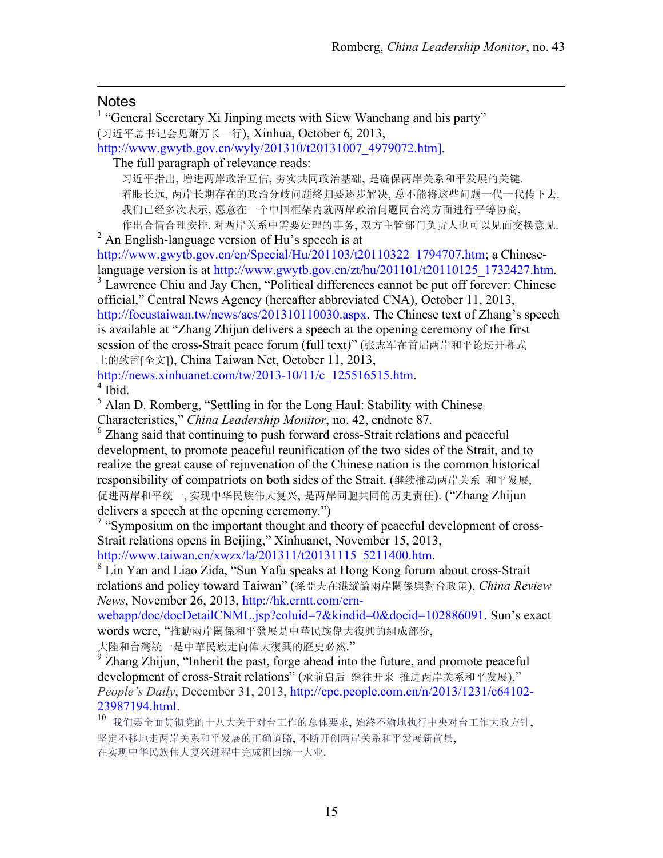#### **Notes**

 $\overline{a}$ 

<sup>1</sup> "General Secretary Xi Jinping meets with Siew Wanchang and his party" (习近平总书记会见萧万长一行), Xinhua, October 6, 2013,

http://www.gwytb.gov.cn/wyly/201310/t20131007\_4979072.htm].

The full paragraph of relevance reads:

习近平指出, 增进两岸政治互信, 夯实共同政治基础, 是确保两岸关系和平发展的关键. 着眼长远, 两岸长期存在的政治分歧问题终归要逐步解决, 总不能将这些问题一代一代传下去. 我们已经多次表示, 愿意在一个中国框架内就两岸政治问题同台湾方面进行平等协商, 作出合情合理安排. 对两岸关系中需要处理的事务, 双方主管部门负责人也可以见面交换意见.<br><sup>2</sup> An English-language version of Hu's speech is at

http://www.gwytb.gov.cn/en/Special/Hu/201103/t20110322\_1794707.htm; a Chineselanguage version is at http://www.gwytb.gov.cn/zt/hu/201101/t20110125 1732427.htm.

<sup>3</sup> Lawrence Chiu and Jay Chen, "Political differences cannot be put off forever: Chinese official," Central News Agency (hereafter abbreviated CNA), October 11, 2013, http://focustaiwan.tw/news/acs/201310110030.aspx. The Chinese text of Zhang's speech is available at "Zhang Zhijun delivers a speech at the opening ceremony of the first session of the cross-Strait peace forum (full text)" (张志军在首届两岸和平论坛开幕式 上的致辞[全文]), China Taiwan Net, October 11, 2013,

http://news.xinhuanet.com/tw/2013-10/11/c\_125516515.htm.  $4$  Ibid.

<sup>5</sup> Alan D. Romberg, "Settling in for the Long Haul: Stability with Chinese Characteristics," *China Leadership Monitor*, no. 42, endnote 87.

<sup>6</sup> Zhang said that continuing to push forward cross-Strait relations and peaceful development, to promote peaceful reunification of the two sides of the Strait, and to realize the great cause of rejuvenation of the Chinese nation is the common historical responsibility of compatriots on both sides of the Strait. (继续推动两岸关系 和平发展, 促进两岸和平统一, 实现中华民族伟大复兴, 是两岸同胞共同的历史责任). ("Zhang Zhijun delivers a speech at the opening ceremony.")

<sup>7</sup> "Symposium on the important thought and theory of peaceful development of cross-Strait relations opens in Beijing," Xinhuanet, November 15, 2013,

http://www.taiwan.cn/xwzx/la/201311/t20131115\_5211400.htm.

<sup>8</sup> Lin Yan and Liao Zida, "Sun Yafu speaks at Hong Kong forum about cross-Strait relations and policy toward Taiwan" (孫亞夫在港縱論兩岸關係與對台政策), *China Review News*, November 26, 2013, http://hk.crntt.com/crn-

webapp/doc/docDetailCNML.jsp?coluid=7&kindid=0&docid=102886091. Sun's exact words were, "推動兩岸關係和平發展是中華民族偉大復興的組成部份,

大陸和台灣統一是中華民族走向偉大復興的歷史必然."<br><sup>9</sup> Zhang Zhijun, "Inherit the past, forge ahead into the future, and promote peaceful development of cross-Strait relations" (承前启后 继往开来 推进两岸关系和平发展)," *People's Daily*, December 31, 2013, http://cpc.people.com.cn/n/2013/1231/c64102- 23987194.html.

<sup>10</sup> 我们要全面贯彻党的十八大关于对台工作的总体要求, 始终不渝地执行中央对台工作大政方针, 坚定不移地走两岸关系和平发展的正确道路, 不断开创两岸关系和平发展新前景, 在实现中华民族伟大复兴进程中完成祖国统一大业.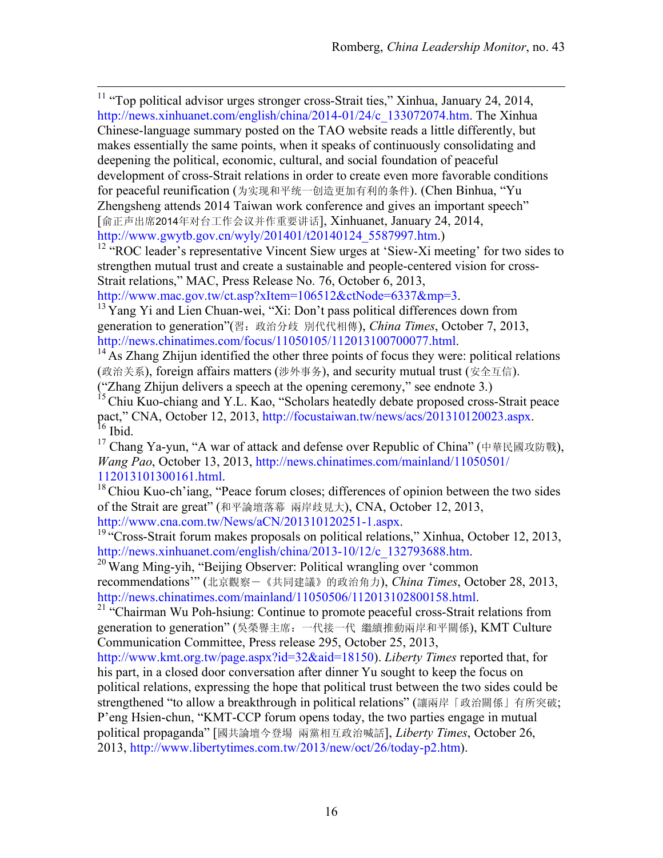<sup>11</sup> "Top political advisor urges stronger cross-Strait ties," Xinhua, January 24, 2014, http://news.xinhuanet.com/english/china/2014-01/24/c\_133072074.htm. The Xinhua Chinese-language summary posted on the TAO website reads a little differently, but makes essentially the same points, when it speaks of continuously consolidating and deepening the political, economic, cultural, and social foundation of peaceful development of cross-Strait relations in order to create even more favorable conditions for peaceful reunification (为实现和平统一创造更加有利的条件). (Chen Binhua, "Yu Zhengsheng attends 2014 Taiwan work conference and gives an important speech" [俞正声出席2014年对台工作会议并作重要讲话], Xinhuanet, January 24, 2014, http://www.gwytb.gov.cn/wyly/201401/t20140124\_5587997.htm.)

<sup>12</sup> "ROC leader's representative Vincent Siew urges at 'Siew-Xi meeting' for two sides to strengthen mutual trust and create a sustainable and people-centered vision for cross-Strait relations," MAC, Press Release No. 76, October 6, 2013,

http://www.mac.gov.tw/ct.asp?xItem=106512&ctNode=6337&mp=3.<br><sup>13</sup> Yang Yi and Lien Chuan-wei, "Xi: Don't pass political differences down from generation to generation"(習:政治分歧 別代代相傳), *China Times*, October 7, 2013,

http://news.chinatimes.com/focus/11050105/112013100700077.html.<br><sup>14</sup> As Zhang Zhijun identified the other three points of focus they were: political relations (政治关系), foreign affairs matters (涉外事务), and security mutual trust (安全互信). ("Zhang Zhijun delivers a speech at the opening ceremony," see endnote 3.)

<sup>15</sup> Chiu Kuo-chiang and Y.L. Kao, "Scholars heatedly debate proposed cross-Strait peace pact," CNA, October 12, 2013, http://focustaiwan.tw/news/acs/201310120023.aspx. <sup>16</sup> Ibid.

<sup>17</sup> Chang Ya-yun, "A war of attack and defense over Republic of China" (中華民國攻防戰), *Wang Pao*, October 13, 2013, http://news.chinatimes.com/mainland/11050501/ 112013101300161.html. 18Chiou Kuo-ch'iang, "Peace forum closes; differences of opinion between the two sides

of the Strait are great" (和平論壇落幕 兩岸歧見大), CNA, October 12, 2013,

http://www.cna.com.tw/News/aCN/201310120251-1.aspx.<br><sup>19</sup> "Cross-Strait forum makes proposals on political relations," Xinhua, October 12, 2013,<br>http://news.xinhuanet.com/english/china/2013-10/12/c 132793688.htm.

 $h^{20}$  Wang Ming-yih, "Beijing Observer: Political wrangling over 'common

recommendations'" (北京觀察-《共同建議》的政治角力), *China Times*, October 28, 2013,

http://news.chinatimes.com/mainland/11050506/112013102800158.html.<br><sup>21</sup> "Chairman Wu Poh-hsiung: Continue to promote peaceful cross-Strait relations from generation to generation" (吳榮譽主席:一代接一代 繼續推動兩岸和平關係), KMT Culture Communication Committee, Press release 295, October 25, 2013,

http://www.kmt.org.tw/page.aspx?id=32&aid=18150). *Liberty Times* reported that, for his part, in a closed door conversation after dinner Yu sought to keep the focus on political relations, expressing the hope that political trust between the two sides could be strengthened "to allow a breakthrough in political relations" (讓兩岸「政治關係」有所突破; P'eng Hsien-chun, "KMT-CCP forum opens today, the two parties engage in mutual political propaganda" [國共論壇今登場 兩黨相互政治喊話], *Liberty Times*, October 26, 2013, http://www.libertytimes.com.tw/2013/new/oct/26/today-p2.htm).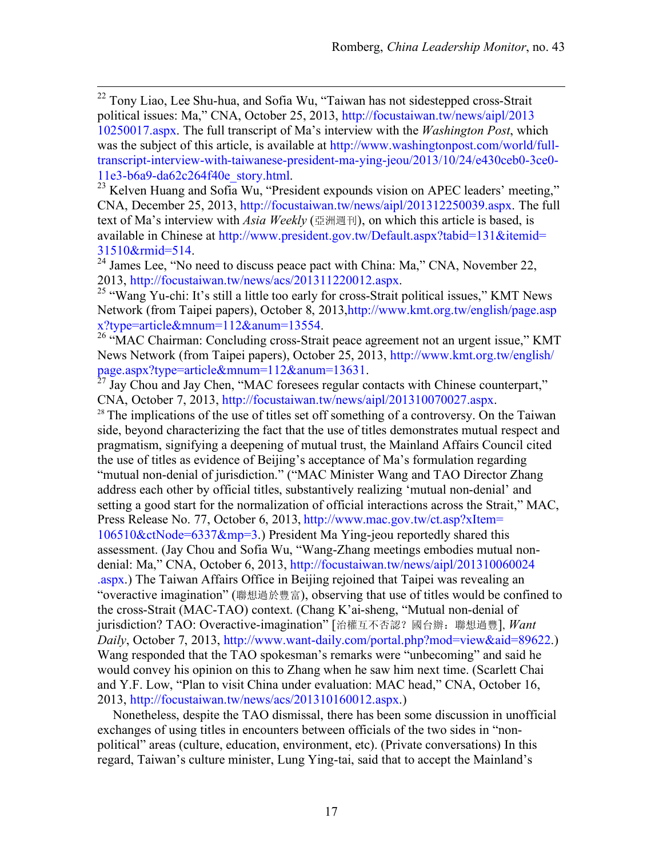<sup>22</sup> Tony Liao, Lee Shu-hua, and Sofia Wu, "Taiwan has not sidestepped cross-Strait political issues: Ma," CNA, October 25, 2013, http://focustaiwan.tw/news/aipl/2013 10250017.aspx. The full transcript of Ma's interview with the *Washington Post*, which was the subject of this article, is available at http://www.washingtonpost.com/world/fulltranscript-interview-with-taiwanese-president-ma-ying-jeou/2013/10/24/e430ceb0-3ce0-

11e3-b6a9-da62c264f40e\_story.html. <sup>23</sup> Kelven Huang and Sofia Wu, "President expounds vision on APEC leaders' meeting," CNA, December 25, 2013, http://focustaiwan.tw/news/aipl/201312250039.aspx. The full text of Ma's interview with *Asia Weekly* (亞洲週刊), on which this article is based, is available in Chinese at http://www.president.gov.tw/Default.aspx?tabid=131&itemid=

 $31510$ &rmid=514.<br><sup>24</sup> James Lee, "No need to discuss peace pact with China: Ma," CNA, November 22, 2013, http://focustaiwan.tw/news/acs/201311220012.aspx.

<sup>25</sup> "Wang Yu-chi: It's still a little too early for cross-Strait political issues," KMT News Network (from Taipei papers), October 8, 2013,http://www.kmt.org.tw/english/page.asp

x?type=article&mnum=112&anum=13554. 26 "MAC Chairman: Concluding cross-Strait peace agreement not an urgent issue," KMT News Network (from Taipei papers), October 25, 2013, http://www.kmt.org.tw/english/ page.aspx?type=article&mnum=112&anum=13631.<br><sup>27</sup> Jay Chou and Jay Chen, "MAC foresees regular contacts with Chinese counterpart,"

CNA, October 7, 2013, http://focustaiwan.tw/news/aipl/201310070027.aspx. 28 The implications of the use of titles set off something of a controversy. On the Taiwan

side, beyond characterizing the fact that the use of titles demonstrates mutual respect and pragmatism, signifying a deepening of mutual trust, the Mainland Affairs Council cited the use of titles as evidence of Beijing's acceptance of Ma's formulation regarding "mutual non-denial of jurisdiction." ("MAC Minister Wang and TAO Director Zhang address each other by official titles, substantively realizing 'mutual non-denial' and setting a good start for the normalization of official interactions across the Strait," MAC, Press Release No. 77, October 6, 2013, http://www.mac.gov.tw/ct.asp?xItem= 106510&ctNode=6337&mp=3.) President Ma Ying-jeou reportedly shared this assessment. (Jay Chou and Sofia Wu, "Wang-Zhang meetings embodies mutual nondenial: Ma," CNA, October 6, 2013, http://focustaiwan.tw/news/aipl/201310060024 .aspx.) The Taiwan Affairs Office in Beijing rejoined that Taipei was revealing an "overactive imagination" (聯想過於豐富), observing that use of titles would be confined to the cross-Strait (MAC-TAO) context. (Chang K'ai-sheng, "Mutual non-denial of jurisdiction? TAO: Overactive-imagination" [治權互不否認?國台辦:聯想過豐], *Want Daily*, October 7, 2013, http://www.want-daily.com/portal.php?mod=view&aid=89622.) Wang responded that the TAO spokesman's remarks were "unbecoming" and said he would convey his opinion on this to Zhang when he saw him next time. (Scarlett Chai and Y.F. Low, "Plan to visit China under evaluation: MAC head," CNA, October 16, 2013, http://focustaiwan.tw/news/acs/201310160012.aspx.)

Nonetheless, despite the TAO dismissal, there has been some discussion in unofficial exchanges of using titles in encounters between officials of the two sides in "nonpolitical" areas (culture, education, environment, etc). (Private conversations) In this regard, Taiwan's culture minister, Lung Ying-tai, said that to accept the Mainland's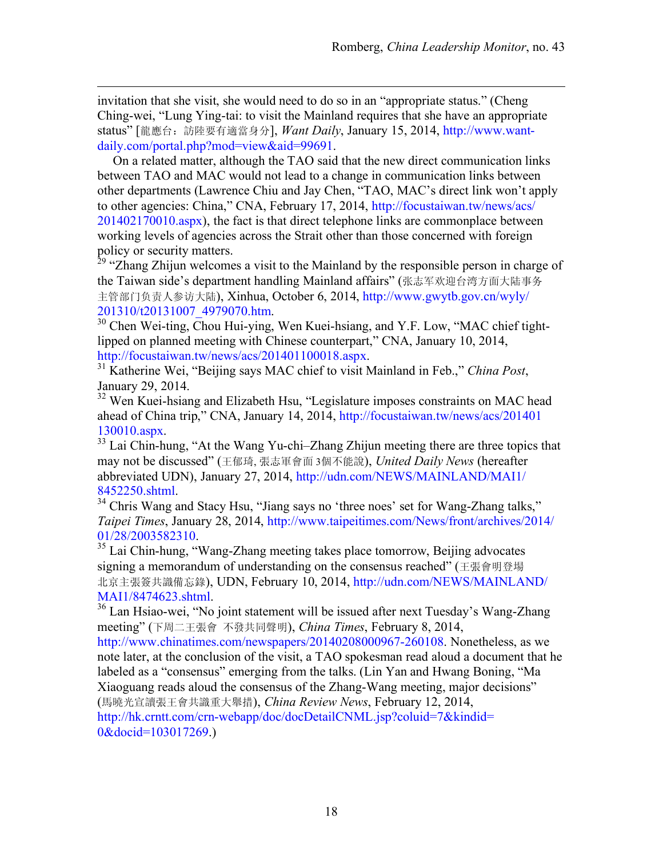invitation that she visit, she would need to do so in an "appropriate status." (Cheng Ching-wei, "Lung Ying-tai: to visit the Mainland requires that she have an appropriate status" [龍應台: 訪陸要有適當身分], *Want Daily*, January 15, 2014, http://www.wantdaily.com/portal.php?mod=view&aid=99691.

 $\overline{a}$ 

On a related matter, although the TAO said that the new direct communication links between TAO and MAC would not lead to a change in communication links between other departments (Lawrence Chiu and Jay Chen, "TAO, MAC's direct link won't apply to other agencies: China," CNA, February 17, 2014, http://focustaiwan.tw/news/acs/ 201402170010.aspx), the fact is that direct telephone links are commonplace between working levels of agencies across the Strait other than those concerned with foreign policy or security matters.

<sup>29</sup> "Zhang Zhijun welcomes a visit to the Mainland by the responsible person in charge of the Taiwan side's department handling Mainland affairs" (张志军欢迎台湾方面大陆事务 主管部门负责人参访大陆), Xinhua, October 6, 2014, http://www.gwytb.gov.cn/wyly/

201310/t20131007\_4979070.htm. <sup>30</sup> Chen Wei-ting, Chou Hui-ying, Wen Kuei-hsiang, and Y.F. Low, "MAC chief tightlipped on planned meeting with Chinese counterpart," CNA, January 10, 2014,

http://focustaiwan.tw/news/acs/201401100018.aspx. 31 Katherine Wei, "Beijing says MAC chief to visit Mainland in Feb.," *China Post*, January 29, 2014.

<sup>32</sup> Wen Kuei-hsiang and Elizabeth Hsu, "Legislature imposes constraints on MAC head ahead of China trip," CNA, January 14, 2014, http://focustaiwan.tw/news/acs/201401 130010.aspx. <sup>33</sup> Lai Chin-hung, "At the Wang Yu-chi–Zhang Zhijun meeting there are three topics that

may not be discussed" (王郁琦, 張志軍會面 3個不能說), *United Daily News* (hereafter abbreviated UDN), January 27, 2014, http://udn.com/NEWS/MAINLAND/MAI1/

<sup>34</sup> Chris Wang and Stacy Hsu, "Jiang says no 'three noes' set for Wang-Zhang talks," *Taipei Times*, January 28, 2014, http://www.taipeitimes.com/News/front/archives/2014/  $01/28/2003582310$ .<br><sup>35</sup> Lai Chin-hung, "Wang-Zhang meeting takes place tomorrow, Beijing advocates

signing a memorandum of understanding on the consensus reached" (王張會明登場 北京主張簽共識備忘錄), UDN, February 10, 2014, http://udn.com/NEWS/MAINLAND/

MAI1/8474623.shtml.<br><sup>36</sup> Lan Hsiao-wei, "No joint statement will be issued after next Tuesday's Wang-Zhang meeting" (下周二王張會 不發共同聲明), *China Times*, February 8, 2014,

http://www.chinatimes.com/newspapers/20140208000967-260108. Nonetheless, as we note later, at the conclusion of the visit, a TAO spokesman read aloud a document that he labeled as a "consensus" emerging from the talks. (Lin Yan and Hwang Boning, "Ma Xiaoguang reads aloud the consensus of the Zhang-Wang meeting, major decisions" (馬曉光宣讀張王會共識重大舉措), *China Review News*, February 12, 2014,

http://hk.crntt.com/crn-webapp/doc/docDetailCNML.jsp?coluid=7&kindid= 0&docid=103017269.)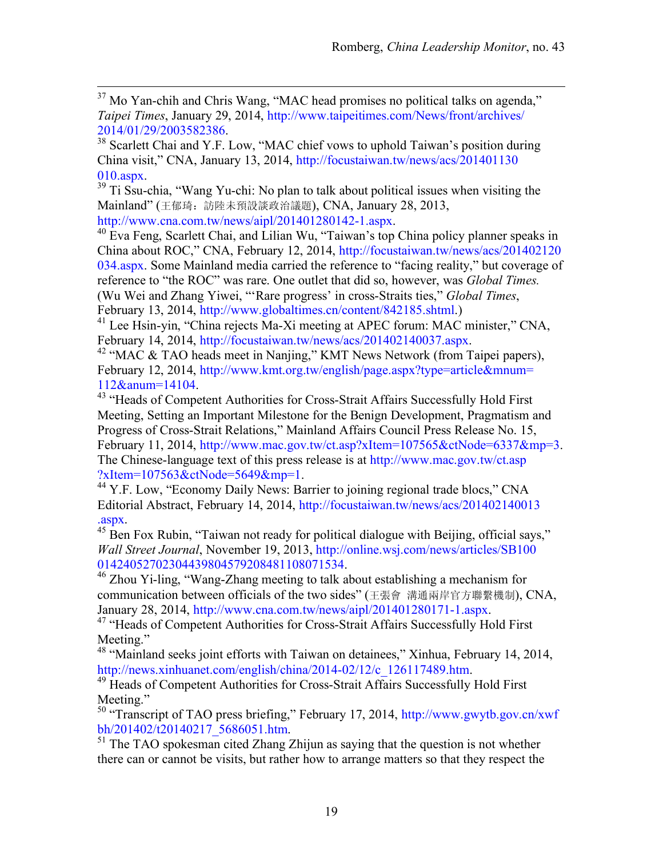$37$  Mo Yan-chih and Chris Wang, "MAC head promises no political talks on agenda," *Taipei Times*, January 29, 2014, http://www.taipeitimes.com/News/front/archives/

2014/01/29/2003582386. <sup>38</sup> Scarlett Chai and Y.F. Low, "MAC chief vows to uphold Taiwan's position during China visit," CNA, January 13, 2014, http://focustaiwan.tw/news/acs/201401130

010.aspx.<br> $39$  Ti Ssu-chia, "Wang Yu-chi: No plan to talk about political issues when visiting the Mainland" (王郁琦: 訪陸未預設談政治議題), CNA, January 28, 2013,

http://www.cna.com.tw/news/aipl/201401280142-1.aspx.<br><sup>40</sup> Eva Feng, Scarlett Chai, and Lilian Wu, "Taiwan's top China policy planner speaks in China about ROC," CNA, February 12, 2014, http://focustaiwan.tw/news/acs/201402120 034.aspx. Some Mainland media carried the reference to "facing reality," but coverage of reference to "the ROC" was rare. One outlet that did so, however, was *Global Times.* (Wu Wei and Zhang Yiwei, "'Rare progress' in cross-Straits ties," *Global Times*, February 13, 2014, http://www.globaltimes.cn/content/842185.shtml.)

<sup>41</sup> Lee Hsin-yin, "China rejects Ma-Xi meeting at APEC forum: MAC minister," CNA,

February 14, 2014, http://focustaiwan.tw/news/acs/201402140037.aspx.<br><sup>42</sup> "MAC & TAO heads meet in Nanjing," KMT News Network (from Taipei papers), February 12, 2014, http://www.kmt.org.tw/english/page.aspx?type=article&mnum= 112&anum=14104. 43 "Heads of Competent Authorities for Cross-Strait Affairs Successfully Hold First

Meeting, Setting an Important Milestone for the Benign Development, Pragmatism and Progress of Cross-Strait Relations," Mainland Affairs Council Press Release No. 15, February 11, 2014, http://www.mac.gov.tw/ct.asp?xItem=107565&ctNode=6337&mp=3. The Chinese-language text of this press release is at http://www.mac.gov.tw/ct.asp ?xItem=107563&ctNode=5649&mp=1. 44 Y.F. Low, "Economy Daily News: Barrier to joining regional trade blocs," CNA

Editorial Abstract, February 14, 2014, http://focustaiwan.tw/news/acs/201402140013

.aspx. 45 Ben Fox Rubin, "Taiwan not ready for political dialogue with Beijing, official says," *Wall Street Journal*, November 19, 2013, http://online.wsj.com/news/articles/SB100 01424052702304439804579208481108071534. 46 Zhou Yi-ling, "Wang-Zhang meeting to talk about establishing a mechanism for

communication between officials of the two sides" (王張會 溝通兩岸官方聯繫機制), CNA,

January 28, 2014, http://www.cna.com.tw/news/aipl/201401280171-1.aspx.<br><sup>47</sup> "Heads of Competent Authorities for Cross-Strait Affairs Successfully Hold First Meeting."

<sup>48</sup> "Mainland seeks joint efforts with Taiwan on detainees," Xinhua, February 14, 2014, http://news.xinhuanet.com/english/china/2014-02/12/c 126117489.htm.

<sup>49</sup> Heads of Competent Authorities for Cross-Strait Affairs Successfully Hold First Meeting."

50 "Transcript of TAO press briefing," February 17, 2014, http://www.gwytb.gov.cn/xwf bh/201402/t20140217\_5686051.htm.<br><sup>51</sup> The TAO spokesman cited Zhang Zhijun as saying that the question is not whether

there can or cannot be visits, but rather how to arrange matters so that they respect the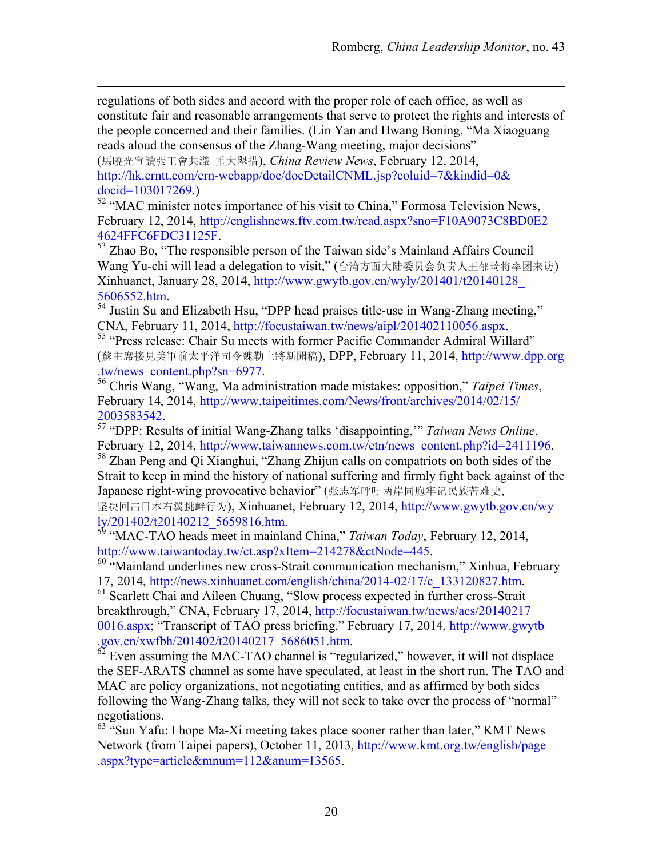regulations of both sides and accord with the proper role of each office, as well as constitute fair and reasonable arrangements that serve to protect the rights and interests of the people concerned and their families. (Lin Yan and Hwang Boning, "Ma Xiaoguang reads aloud the consensus of the Zhang-Wang meeting, major decisions"

(馬曉光宣讀張王會共識 重大舉措), *China Review News*, February 12, 2014, http://hk.crntt.com/crn-webapp/doc/docDetailCNML.jsp?coluid=7&kindid=0& docid=103017269.)

 $\overline{a}$ 

<sup>52</sup> "MAC minister notes importance of his visit to China," Formosa Television News, February 12, 2014, http://englishnews.ftv.com.tw/read.aspx?sno=F10A9073C8BD0E2

4624FFC6FDC31125F. 53 Zhao Bo, "The responsible person of the Taiwan side's Mainland Affairs Council Wang Yu-chi will lead a delegation to visit," (台湾方面大陆委员会负责人王郁琦将率团来访) Xinhuanet, January 28, 2014, http://www.gwytb.gov.cn/wyly/201401/t20140128\_

5606552.htm.<br><sup>54</sup> Justin Su and Elizabeth Hsu, "DPP head praises title-use in Wang-Zhang meeting,"<br>CNA, February 11, 2014, http://focustaiwan.tw/news/aipl/201402110056.aspx.

<sup>55</sup> "Press release: Chair Su meets with former Pacific Commander Admiral Willard" (蘇主席接見美軍前太平洋司令魏勒上將新聞稿), DPP, February 11, 2014, http://www.dpp.org .tw/news\_content.php?sn=6977. 56 Chris Wang, "Wang, Ma administration made mistakes: opposition," *Taipei Times*,

February 14, 2014, http://www.taipeitimes.com/News/front/archives/2014/02/15/

2003583542. 57 "DPP: Results of initial Wang-Zhang talks 'disappointing,'" *Taiwan News Online*, February 12, 2014, http://www.taiwannews.com.tw/etn/news\_content.php?id=2411196.<br><sup>58</sup> Zhan Peng and Qi Xianghui, "Zhang Zhijun calls on compatriots on both sides of the Strait to keep in mind the history of national suffering and firmly fight back against of the Japanese right-wing provocative behavior" (张志军呼吁两岸同胞牢记民族苦难史, 坚决回击日本右翼挑衅行为), Xinhuanet, February 12, 2014, http://www.gwytb.gov.cn/wy<br>lv/201402/t20140212 5659816.htm.

<sup>59</sup> "MAC-TAO heads meet in mainland China," *Taiwan Today*, February 12, 2014,

http://www.taiwantoday.tw/ct.asp?xItem=214278&ctNode=445.<br><sup>60</sup> "Mainland underlines new cross-Strait communication mechanism," Xinhua, February

17, 2014, http://news.xinhuanet.com/english/china/2014-02/17/c\_133120827.htm. 61 Scarlett Chai and Aileen Chuang, "Slow process expected in further cross-Strait breakthrough," CNA, February 17, 2014, http://focustaiwan.tw/news/acs/20140217 0016.aspx; "Transcript of TAO press briefing," February 17, 2014, http://www.gwytb .gov.cn/xwfbh/201402/t20140217\_5686051.htm. 62 Even assuming the MAC-TAO channel is "regularized," however, it will not displace

the SEF-ARATS channel as some have speculated, at least in the short run. The TAO and MAC are policy organizations, not negotiating entities, and as affirmed by both sides following the Wang-Zhang talks, they will not seek to take over the process of "normal" negotiations.

 $63$  "Sun Yafu: I hope Ma-Xi meeting takes place sooner rather than later," KMT News Network (from Taipei papers), October 11, 2013, http://www.kmt.org.tw/english/page .aspx?type=article&mnum=112&anum=13565.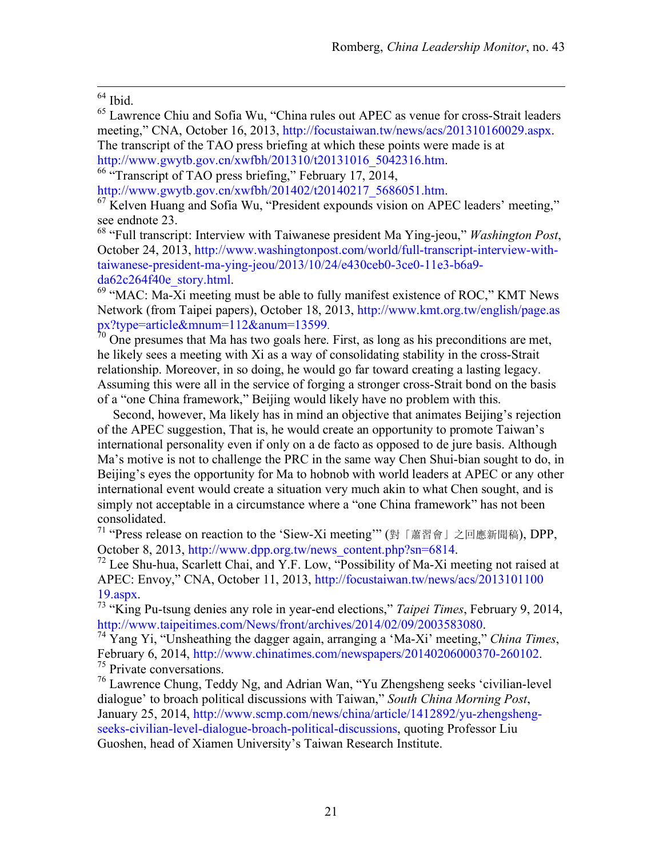$64$  Ibid.

65 Lawrence Chiu and Sofia Wu, "China rules out APEC as venue for cross-Strait leaders meeting," CNA, October 16, 2013, http://focustaiwan.tw/news/acs/201310160029.aspx. The transcript of the TAO press briefing at which these points were made is at http://www.gwytb.gov.cn/xwfbh/201310/t20131016\_5042316.htm. 66 "Transcript of TAO press briefing," February 17, 2014,

http://www.gwytb.gov.cn/xwfbh/201402/t20140217\_5686051.htm.<br><sup>67</sup> Kelven Huang and Sofia Wu, "President expounds vision on APEC leaders' meeting," see endnote 23.<br><sup>68</sup> "Full transcript: Interview with Taiwanese president Ma Ying-jeou," *Washington Post*,

October 24, 2013, http://www.washingtonpost.com/world/full-transcript-interview-withtaiwanese-president-ma-ying-jeou/2013/10/24/e430ceb0-3ce0-11e3-b6a9 da62c264f40e\_story.html.<br><sup>69</sup> "MAC: Ma-Xi meeting must be able to fully manifest existence of ROC," KMT News

Network (from Taipei papers), October 18, 2013, http://www.kmt.org.tw/english/page.as px?type=article&mnum=112&anum=13599.<br><sup>70</sup> One presumes that Ma has two goals here. First, as long as his preconditions are met,

he likely sees a meeting with Xi as a way of consolidating stability in the cross-Strait relationship. Moreover, in so doing, he would go far toward creating a lasting legacy. Assuming this were all in the service of forging a stronger cross-Strait bond on the basis of a "one China framework," Beijing would likely have no problem with this.

Second, however, Ma likely has in mind an objective that animates Beijing's rejection of the APEC suggestion, That is, he would create an opportunity to promote Taiwan's international personality even if only on a de facto as opposed to de jure basis. Although Ma's motive is not to challenge the PRC in the same way Chen Shui-bian sought to do, in Beijing's eyes the opportunity for Ma to hobnob with world leaders at APEC or any other international event would create a situation very much akin to what Chen sought, and is simply not acceptable in a circumstance where a "one China framework" has not been consolidated.

71 "Press release on reaction to the 'Siew-Xi meeting'" (對「蕭習會」之回應新聞稿), DPP, October 8, 2013, http://www.dpp.org.tw/news\_content.php?sn=6814.<br><sup>72</sup> Lee Shu-hua, Scarlett Chai, and Y.F. Low, "Possibility of Ma-Xi meeting not raised at

APEC: Envoy," CNA, October 11, 2013, http://focustaiwan.tw/news/acs/2013101100

19.aspx. 73 "King Pu-tsung denies any role in year-end elections," *Taipei Times*, February 9, 2014,

 $h^7$ <sup>4</sup> Yang Yi, "Unsheathing the dagger again, arranging a 'Ma-Xi' meeting," *China Times*, February 6, 2014, http://www.chinatimes.com/newspapers/20140206000370-260102.<br><sup>75</sup> Private conversations.<br><sup>76</sup> Lawrence Chung, Teddy Ng, and Adrian Wan, "Yu Zhengsheng seeks 'civilian-level

dialogue' to broach political discussions with Taiwan," *South China Morning Post*, January 25, 2014, http://www.scmp.com/news/china/article/1412892/yu-zhengshengseeks-civilian-level-dialogue-broach-political-discussions, quoting Professor Liu Guoshen, head of Xiamen University's Taiwan Research Institute.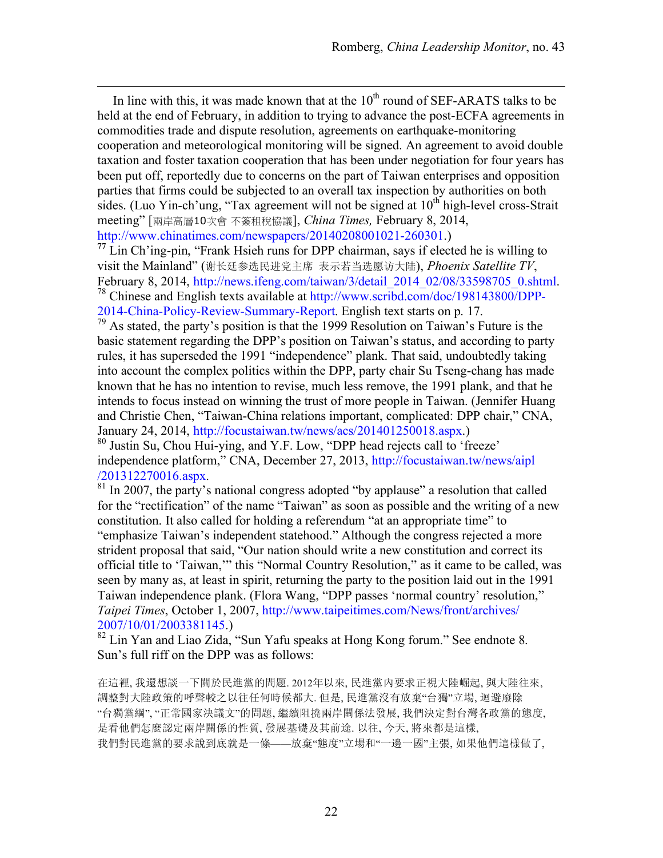In line with this, it was made known that at the  $10<sup>th</sup>$  round of SEF-ARATS talks to be held at the end of February, in addition to trying to advance the post-ECFA agreements in commodities trade and dispute resolution, agreements on earthquake-monitoring cooperation and meteorological monitoring will be signed. An agreement to avoid double taxation and foster taxation cooperation that has been under negotiation for four years has been put off, reportedly due to concerns on the part of Taiwan enterprises and opposition parties that firms could be subjected to an overall tax inspection by authorities on both sides. (Luo Yin-ch'ung, "Tax agreement will not be signed at  $10<sup>th</sup>$  high-level cross-Strait meeting" [兩岸高層10次會 不簽租稅協議], *China Times,* February 8, 2014, http://www.chinatimes.com/newspapers/20140208001021-260301.)

 $\overline{a}$ 

**<sup>77</sup>** Lin Ch'ing-pin, "Frank Hsieh runs for DPP chairman, says if elected he is willing to visit the Mainland" (谢长廷参选民进党主席 表示若当选愿访大陆), *Phoenix Satellite TV*, February 8, 2014, http://news.ifeng.com/taiwan/3/detail\_2014\_02/08/33598705\_0.shtml.<br><sup>78</sup> Chinese and English texts available at http://www.scribd.com/doc/198143800/DPP-2014-China-Policy-Review-Summary-Report. English text starts on p. 17.

79 As stated, the party's position is that the 1999 Resolution on Taiwan's Future is the basic statement regarding the DPP's position on Taiwan's status, and according to party rules, it has superseded the 1991 "independence" plank. That said, undoubtedly taking into account the complex politics within the DPP, party chair Su Tseng-chang has made known that he has no intention to revise, much less remove, the 1991 plank, and that he intends to focus instead on winning the trust of more people in Taiwan. (Jennifer Huang and Christie Chen, "Taiwan-China relations important, complicated: DPP chair," CNA, January 24, 2014, http://focustaiwan.tw/news/acs/201401250018.aspx.)

80 Justin Su, Chou Hui-ying, and Y.F. Low, "DPP head rejects call to 'freeze' independence platform," CNA, December 27, 2013, http://focustaiwan.tw/news/aipl  $/201312270016$ .aspx.<br><sup>81</sup> In 2007, the party's national congress adopted "by applause" a resolution that called

for the "rectification" of the name "Taiwan" as soon as possible and the writing of a new constitution. It also called for holding a referendum "at an appropriate time" to "emphasize Taiwan's independent statehood." Although the congress rejected a more strident proposal that said, "Our nation should write a new constitution and correct its official title to 'Taiwan,'" this "Normal Country Resolution," as it came to be called, was seen by many as, at least in spirit, returning the party to the position laid out in the 1991 Taiwan independence plank. (Flora Wang, "DPP passes 'normal country' resolution," *Taipei Times*, October 1, 2007, http://www.taipeitimes.com/News/front/archives/ 2007/10/01/2003381145.)

<sup>82</sup> Lin Yan and Liao Zida, "Sun Yafu speaks at Hong Kong forum." See endnote 8. Sun's full riff on the DPP was as follows:

在這裡, 我還想談一下關於民進黨的問題. 2012年以來, 民進黨內要求正視大陸崛起, 與大陸往來, 調整對大陸政策的呼聲較之以往任何時候都大. 但是, 民進黨沒有放棄"台獨"立場, 迴避廢除 "台獨黨綱", "正常國家決議文"的問題, 繼續阻撓兩岸關係法發展, 我們決定對台灣各政黨的態度, 是看他們怎麼認定兩岸關係的性質, 發展基礎及其前途. 以往, 今天, 將來都是這樣, 我們對民進黨的要求說到底就是一條——放棄"態度"立場和"一邊一國"主張, 如果他們這樣做了,